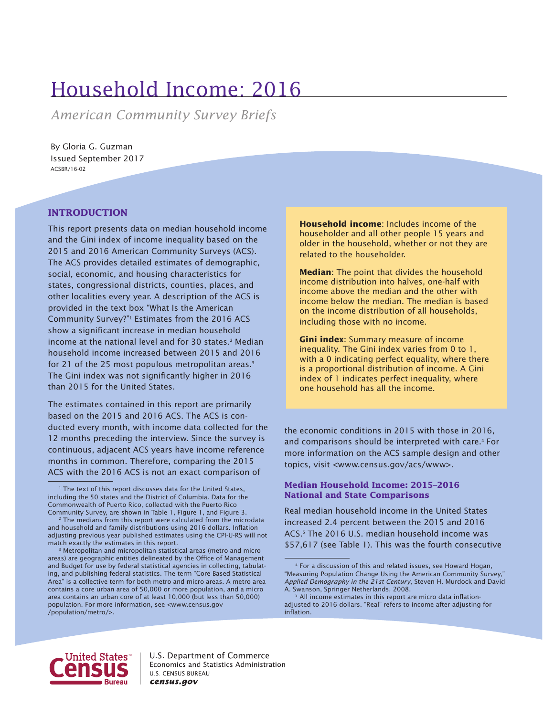# Household Income: 2016

*American Community Survey Briefs*

By Gloria G. Guzman Issued September 2017 ACSBR/16-02

# **INTRODUCTION**

This report presents data on median household income and the Gini index of income inequality based on the 2015 and 2016 American Community Surveys (ACS). The ACS provides detailed estimates of demographic, social, economic, and housing characteristics for states, congressional districts, counties, places, and other localities every year. A description of the ACS is provided in the text box "What Is the American Community Survey?"<sup>1</sup> Estimates from the 2016 ACS show a significant increase in median household income at the national level and for 30 states.<sup>2</sup> Median household income increased between 2015 and 2016 for 21 of the 25 most populous metropolitan areas.<sup>3</sup> The Gini index was not significantly higher in 2016 than 2015 for the United States.

The estimates contained in this report are primarily based on the 2015 and 2016 ACS. The ACS is conducted every month, with income data collected for the 12 months preceding the interview. Since the survey is continuous, adjacent ACS years have income reference months in common. Therefore, comparing the 2015 ACS with the 2016 ACS is not an exact comparison of

3 Metropolitan and micropolitan statistical areas (metro and micro areas) are geographic entities delineated by the Office of Management and Budget for use by federal statistical agencies in collecting, tabulating, and publishing federal statistics. The term "Core Based Statistical Area" is a collective term for both metro and micro areas. A metro area contains a core urban area of 50,000 or more population, and a micro area contains an urban core of at least 10,000 (but less than 50,000) population. For more information, see <www.census.gov /population/metro/>.

**Household income**: Includes income of the householder and all other people 15 years and older in the household, whether or not they are related to the householder.

**Median**: The point that divides the household income distribution into halves, one-half with income above the median and the other with income below the median. The median is based on the income distribution of all households, including those with no income.

**Gini index**: Summary measure of income inequality. The Gini index varies from 0 to 1, with a 0 indicating perfect equality, where there is a proportional distribution of income. A Gini index of 1 indicates perfect inequality, where one household has all the income.

the economic conditions in 2015 with those in 2016, and comparisons should be interpreted with care.<sup>4</sup> For more information on the ACS sample design and other topics, visit <www.census.gov/acs/www>.

## **Median Household Income: 2015–2016 National and State Comparisons**

Real median household income in the United States increased 2.4 percent between the 2015 and 2016 ACS.<sup>5</sup> The 2016 U.S. median household income was \$57,617 (see Table 1). This was the fourth consecutive



<sup>&</sup>lt;sup>1</sup> The text of this report discusses data for the United States, including the 50 states and the District of Columbia. Data for the Commonwealth of Puerto Rico, collected with the Puerto Rico Community Survey, are shown in Table 1, Figure 1, and Figure 3.

<sup>&</sup>lt;sup>2</sup> The medians from this report were calculated from the microdata and household and family distributions using 2016 dollars. Inflation adjusting previous year published estimates using the CPI-U-RS will not match exactly the estimates in this report.

<sup>4</sup> For a discussion of this and related issues, see Howard Hogan, "Measuring Population Change Using the American Community Survey," *Applied Demography in the 21st Century*, Steven H. Murdock and David A. Swanson, Springer Netherlands, 2008.

<sup>&</sup>lt;sup>5</sup> All income estimates in this report are micro data inflationadjusted to 2016 dollars. "Real" refers to income after adjusting for inflation.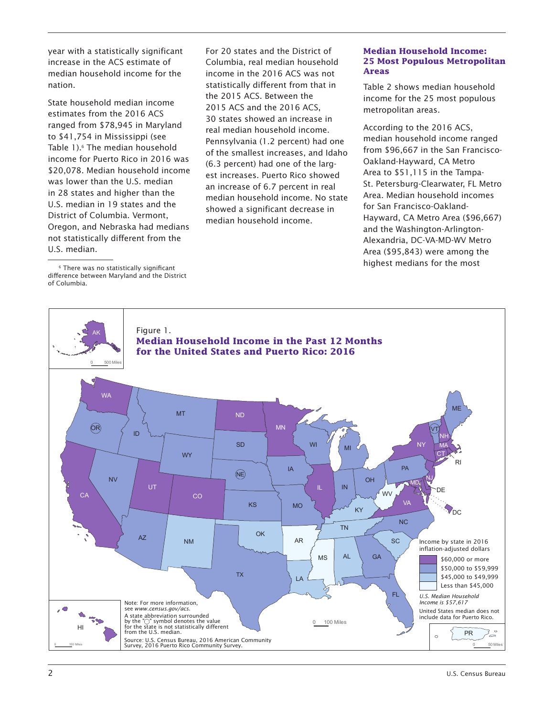year with a statistically significant increase in the ACS estimate of median household income for the nation.

State household median income estimates from the 2016 ACS ranged from \$78,945 in Maryland to \$41,754 in Mississippi (see Table 1).<sup>6</sup> The median household income for Puerto Rico in 2016 was \$20,078. Median household income was lower than the U.S. median in 28 states and higher than the U.S. median in 19 states and the District of Columbia. Vermont, Oregon, and Nebraska had medians not statistically different from the U.S. median.

6 There was no statistically significant difference between Maryland and the District of Columbia.

For 20 states and the District of Columbia, real median household income in the 2016 ACS was not statistically different from that in the 2015 ACS. Between the 2015 ACS and the 2016 ACS, 30 states showed an increase in real median household income. Pennsylvania (1.2 percent) had one of the smallest increases, and Idaho (6.3 percent) had one of the largest increases. Puerto Rico showed an increase of 6.7 percent in real median household income. No state showed a significant decrease in median household income.

## **Median Household Income: 25 Most Populous Metropolitan Areas**

Table 2 shows median household income for the 25 most populous metropolitan areas.

According to the 2016 ACS, median household income ranged from \$96,667 in the San Francisco-Oakland-Hayward, CA Metro Area to \$51,115 in the Tampa-St. Petersburg-Clearwater, FL Metro Area. Median household incomes for San Francisco-Oakland-Hayward, CA Metro Area (\$96,667) and the Washington-Arlington-Alexandria, DC-VA-MD-WV Metro Area (\$95,843) were among the highest medians for the most

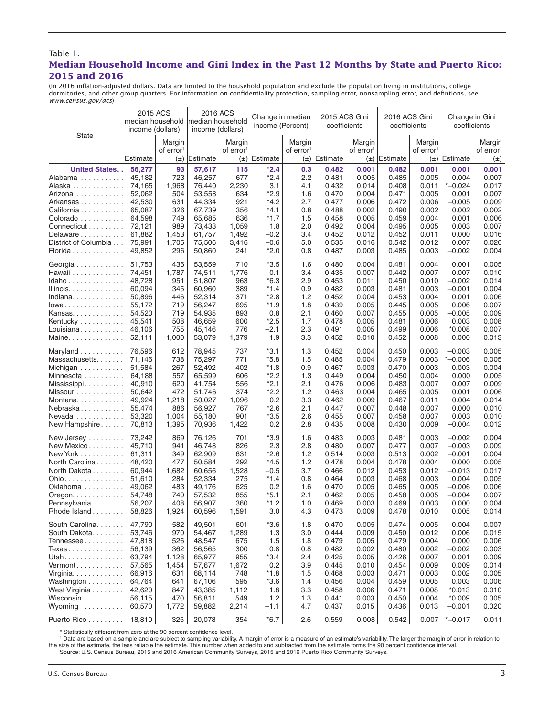### Table 1. **Median Household Income and Gini Index in the Past 12 Months by State and Puerto Rico: 2015 and 2016**

(In 2016 inflation-adjusted dollars. Data are limited to the household population and exclude the population living in institutions, college dormitories, and other group quarters. For information on confidentiality protection, sampling error, nonsampling error, and defintions, see *www.census.gov/acs*)

|                                    | 2015 ACS<br>income (dollars) |                                 | 2016 ACS<br>median household median household<br>income (dollars) |                                            | Change in median<br>income (Percent) |                                            | 2015 ACS Gini<br>coefficients |                                 | 2016 ACS Gini<br>coefficients |                                 | Change in Gini<br>coefficients |                                            |
|------------------------------------|------------------------------|---------------------------------|-------------------------------------------------------------------|--------------------------------------------|--------------------------------------|--------------------------------------------|-------------------------------|---------------------------------|-------------------------------|---------------------------------|--------------------------------|--------------------------------------------|
| <b>State</b>                       | Estimate                     | Margin<br>of error <sup>1</sup> | $(\pm)$ Estimate                                                  | Margin<br>of error <sup>1</sup><br>$(\pm)$ | Estimate                             | Margin<br>of error <sup>1</sup><br>$(\pm)$ | Estimate                      | Margin<br>of error <sup>1</sup> | $(\pm)$ Estimate              | Margin<br>of error <sup>1</sup> | $(\pm)$ Estimate               | Margin<br>of error <sup>1</sup><br>$(\pm)$ |
|                                    |                              |                                 |                                                                   |                                            |                                      |                                            |                               |                                 |                               |                                 |                                |                                            |
| <b>United States.</b>              | 56,277                       | 93                              | 57,617                                                            | 115                                        | $*2.4$                               | 0.3                                        | 0.482                         | 0.001                           | 0.482                         | 0.001                           | 0.001                          | 0.001                                      |
| Alabama                            | 45,182                       | 723                             | 46,257                                                            | 677                                        | $*2.4$                               | 2.2                                        | 0.481                         | 0.005                           | 0.485                         | 0.005                           | 0.004                          | 0.007                                      |
| Alaska                             | 74,165                       | 1,968                           | 76,440                                                            | 2,230                                      | 3.1                                  | 4.1                                        | 0.432                         | 0.014                           | 0.408                         | 0.011                           | $*$ -0.024                     | 0.017                                      |
| Arizona                            | 52,062                       | 504                             | 53,558                                                            | 634                                        | $*2.9$                               | 1.6                                        | 0.470                         | 0.004                           | 0.471                         | 0.005                           | 0.001                          | 0.007                                      |
| Arkansas                           | 42,530                       | 631                             | 44,334                                                            | 921                                        | *4.2                                 | 2.7                                        | 0.477                         | 0.006                           | 0.472                         | 0.006                           | $-0.005$                       | 0.009                                      |
| California                         | 65,087                       | 326                             | 67,739                                                            | 356                                        | *4.1                                 | 0.8                                        | 0.488                         | 0.002                           | 0.490                         | 0.002                           | 0.002                          | 0.002                                      |
| Colorado                           | 64,598                       | 749                             | 65,685                                                            | 636                                        | $*1.7$                               | 1.5                                        | 0.458                         | 0.005                           | 0.459                         | 0.004                           | 0.001                          | 0.006                                      |
| Connecticut                        | 72,121                       | 989                             | 73,433                                                            | 1,059                                      | 1.8                                  | 2.0                                        | 0.492                         | 0.004                           | 0.495                         | 0.005                           | 0.003                          | 0.007                                      |
| Delaware                           | 61,882                       | 1,453                           | 61,757                                                            | 1,492                                      | $-0.2$                               | 3.4                                        | 0.452                         | 0.012                           | 0.452                         | 0.011                           | 0.000                          | 0.016                                      |
| District of Columbia               | 75,991                       | 1,705                           | 75,506                                                            | 3,416                                      | $-0.6$                               | 5.0                                        | 0.535                         | 0.016                           | 0.542                         | 0.012                           | 0.007                          | 0.020                                      |
| Florida                            | 49,852                       | 296                             | 50,860                                                            | 241                                        | $*2.0$                               | 0.8                                        | 0.487                         | 0.003                           | 0.485                         | 0.003                           | $-0.002$                       | 0.004                                      |
| Georgia                            | 51,753                       | 436                             | 53,559                                                            | 710                                        | $*3.5$                               | 1.6                                        | 0.480                         | 0.004                           | 0.481                         | 0.004                           | 0.001                          | 0.005                                      |
| Hawaii                             | 74,451                       | 1,787                           | 74,511                                                            | 1,776                                      | 0.1                                  | 3.4                                        | 0.435                         | 0.007                           | 0.442                         | 0.007                           | 0.007                          | 0.010                                      |
| Idaho                              | 48,728                       | 951                             | 51,807                                                            | 963                                        | *6.3                                 | 2.9                                        | 0.453                         | 0.011                           | 0.450                         | 0.010                           | $-0.002$                       | 0.014                                      |
| Illinois.                          | 60,094                       | 345                             | 60,960                                                            | 389                                        | $*1.4$                               | 0.9                                        | 0.482                         | 0.003                           | 0.481                         | 0.003                           | $-0.001$                       | 0.004                                      |
| Indiana                            | 50.896                       | 446                             | 52,314                                                            | 371                                        | $*2.8$                               | 1.2                                        | 0.452                         | 0.004                           | 0.453                         | 0.004                           | 0.001                          | 0.006                                      |
| $lowa \ldots \ldots \ldots \ldots$ | 55,172                       | 719                             | 56,247                                                            | 695                                        | $*1.9$                               | 1.8                                        | 0.439                         | 0.005                           | 0.445                         | 0.005                           | 0.006                          | 0.007                                      |
| Kansas                             | 54,520                       | 719                             | 54,935                                                            | 893                                        | 0.8                                  | 2.1                                        | 0.460                         | 0.007                           | 0.455                         | 0.005                           | $-0.005$                       | 0.009                                      |
| Kentucky                           | 45,541                       | 508                             | 46,659                                                            | 600                                        | $*2.5$                               | 1.7                                        | 0.478                         | 0.005                           | 0.481                         | 0.006                           | 0.003                          | 0.008                                      |
| Louisiana                          | 46,106                       | 755                             | 45,146                                                            | 776                                        | $-2.1$                               | 2.3                                        | 0.491                         | 0.005                           | 0.499                         | 0.006                           | $*0.008$                       | 0.007                                      |
| Maine                              | 52,111                       | 1,000                           | 53,079                                                            | 1,379                                      | 1.9                                  | 3.3                                        | 0.452                         | 0.010                           | 0.452                         | 0.008                           | 0.000                          | 0.013                                      |
| Maryland                           | 76,596                       | 612                             | 78,945                                                            | 737                                        | $*3.1$                               | 1.3                                        | 0.452                         | 0.004                           | 0.450                         | 0.003                           | $-0.003$                       | 0.005                                      |
| Massachusetts.                     | 71,146                       | 738                             | 75,297                                                            | 771                                        | $*5.8$                               | 1.5                                        | 0.485                         | 0.004                           | 0.479                         | 0.003                           | $* -0.006$                     | 0.005                                      |
| Michigan                           | 51,584                       | 267                             | 52,492                                                            | 402                                        | $*1.8$                               | 0.9                                        | 0.467                         | 0.003                           | 0.470                         | 0.003                           | 0.003                          | 0.004                                      |
| Minnesota                          | 64,188                       | 557                             | 65,599                                                            | 606                                        | $*2.2$                               | 1.3                                        | 0.449                         | 0.004                           | 0.450                         | 0.004                           | 0.000                          | 0.005                                      |
| Mississippi                        | 40,910                       | 620                             | 41,754                                                            | 556                                        | *2.1                                 | 2.1                                        | 0.476                         | 0.006                           | 0.483                         | 0.007                           | 0.007                          | 0.009                                      |
| Missouri                           | 50,642                       | 472                             | 51,746                                                            | 374                                        | *2.2                                 | 1.2                                        | 0.463                         | 0.004                           | 0.465                         | 0.005                           | 0.001                          | 0.006                                      |
| Montana                            | 49,924                       | 1,218                           | 50,027                                                            | 1,096                                      | 0.2                                  | 3.3                                        | 0.462                         | 0.009                           | 0.467                         | 0.011                           | 0.004                          | 0.014                                      |
| Nebraska                           | 55,474                       | 886                             | 56,927                                                            | 767                                        | $*2.6$                               | 2.1                                        | 0.447                         | 0.007                           | 0.448                         | 0.007                           | 0.000                          | 0.010                                      |
| Nevada                             | 53,320                       | 1,004                           | 55,180                                                            | 901                                        | $*3.5$                               | 2.6                                        | 0.455                         | 0.007                           | 0.458                         | 0.007                           | 0.003                          | 0.010                                      |
| New Hampshire                      | 70,813                       | 1,395                           | 70,936                                                            | 1,422                                      | 0.2                                  | 2.8                                        | 0.435                         | 0.008                           | 0.430                         | 0.009                           | $-0.004$                       | 0.012                                      |
| New Jersey                         | 73,242                       | 869                             | 76,126                                                            | 701                                        | $*3.9$                               | 1.6                                        | 0.483                         | 0.003                           | 0.481                         | 0.003                           | $-0.002$                       | 0.004                                      |
| New Mexico                         | 45,710                       | 941                             | 46,748                                                            | 826                                        | 2.3                                  | 2.8                                        | 0.480                         | 0.007                           | 0.477                         | 0.007                           | $-0.003$                       | 0.009                                      |
| New York                           | 61,311                       | 349                             | 62,909                                                            | 631                                        | *2.6                                 | 1.2                                        | 0.514                         | 0.003                           | 0.513                         | 0.002                           | $-0.001$                       | 0.004                                      |
| North Carolina                     | 48,420                       | 477                             | 50,584                                                            | 292                                        | $*4.5$                               | 1.2                                        | 0.478                         | 0.004                           | 0.478                         | 0.004                           | 0.000                          | 0.005                                      |
| North Dakota                       | 60,944                       | 1,682                           | 60,656                                                            | 1,528                                      | $-0.5$                               | 3.7                                        | 0.466                         | 0.012                           | 0.453                         | 0.012                           | $-0.013$                       | 0.017                                      |
| Ohio.                              | 51,610                       | 284                             | 52,334                                                            | 275                                        | $*1.4$                               | 0.8                                        | 0.464                         | 0.003                           | 0.468                         | 0.003                           | 0.004                          | 0.005                                      |
| Oklahoma                           | 49,062                       | 483                             | 49,176                                                            | 625                                        | 0.2                                  | 1.6                                        | 0.470                         | 0.005                           | 0.465                         | 0.005                           | $-0.006$                       | 0.006                                      |
| Oregon. $\ldots \ldots \ldots$     | 54,748                       | 740                             | 57,532                                                            | 855                                        | *5.1                                 | 2.1                                        | 0.462                         | 0.005                           | 0.458                         | 0.005                           | $-0.004$                       | 0.007                                      |
| Pennsylvania                       | 56,207                       | 408                             | 56,907                                                            | 360                                        | $*1.2$                               | 1.0                                        | 0.469                         | 0.003                           | 0.469                         | 0.003                           | 0.000                          | 0.004                                      |
| Rhode Island                       | 58,826                       | 1,924                           | 60,596                                                            | 1,591                                      | 3.0                                  | 4.3                                        | 0.473                         | 0.009                           | 0.478                         | 0.010                           | 0.005                          | 0.014                                      |
| South Carolina.                    | 47,790                       | 582                             | 49,501                                                            | 601                                        | $*3.6$                               | 1.8                                        | 0.470                         | 0.005                           | 0.474                         | 0.005                           | 0.004                          | 0.007                                      |
| South Dakota                       | 53,746                       | 970                             | 54,467                                                            | 1,289                                      | 1.3                                  | 3.0                                        | 0.444                         | 0.009                           | 0.450                         | 0.012                           | 0.006                          | 0.015                                      |
| Tennessee                          | 47,818                       | 526                             | 48,547                                                            | 675                                        | 1.5                                  | 1.8                                        | 0.479                         | 0.005                           | 0.479                         | 0.004                           | 0.000                          | 0.006                                      |
| Texas                              | 56,139                       | 362                             | 56,565                                                            | 300                                        | 0.8                                  | 0.8                                        | 0.482                         | 0.002                           | 0.480                         | 0.002                           | $-0.002$                       | 0.003                                      |
| Utah                               | 63,794                       | 1,128                           | 65,977                                                            | 955                                        | $*3.4$                               | 2.4                                        | 0.425                         | 0.005                           | 0.426                         | 0.007                           | 0.001                          | 0.009                                      |
| Vermont                            | 57,565                       | 1,454                           | 57,677                                                            | 1,672                                      | 0.2                                  | 3.9                                        | 0.445                         | 0.010                           | 0.454                         | 0.009                           | 0.009                          | 0.014                                      |
| Virginia.                          | 66,916                       | 631                             | 68,114                                                            | 748                                        | $*1.8$                               | 1.5                                        | 0.468                         | 0.003                           | 0.471                         | 0.003                           | 0.002                          | 0.005                                      |
| Washington                         | 64,764                       | 641                             | 67,106                                                            | 595                                        | $*3.6$                               | 1.4                                        | 0.456                         | 0.004                           | 0.459                         | 0.005                           | 0.003                          | 0.006                                      |
| West Virginia                      | 42,620                       | 847                             | 43,385                                                            | 1,112                                      | 1.8                                  | 3.3                                        | 0.458                         | 0.006                           | 0.471                         | 0.008                           | $*0.013$                       | 0.010                                      |
| Wisconsin                          | 56,115                       | 470                             | 56,811                                                            | 549                                        | 1.2                                  | 1.3                                        | 0.441                         | 0.003                           | 0.450                         | 0.004                           | *0.009                         | 0.005                                      |
| Wyoming                            | 60,570                       | 1,772                           | 59,882                                                            | 2,214                                      | $-1.1$                               | 4.7                                        | 0.437                         | 0.015                           | 0.436                         | 0.013                           | $-0.001$                       | 0.020                                      |
| Puerto Rico                        | 18,810                       | 325                             | 20,078                                                            | 354                                        | $*6.7$                               | 2.6                                        | 0.559                         | 0.008                           | 0.542                         | 0.007                           | $* -0.017$                     | 0.011                                      |

Statistically different from zero at the 90 percent confidence level.<br>1 Data are based on a sample and are subject to sampling variability. A margin of error is a measure of an estimate's variability. The larger the size o e margin of error in relation to ence interval .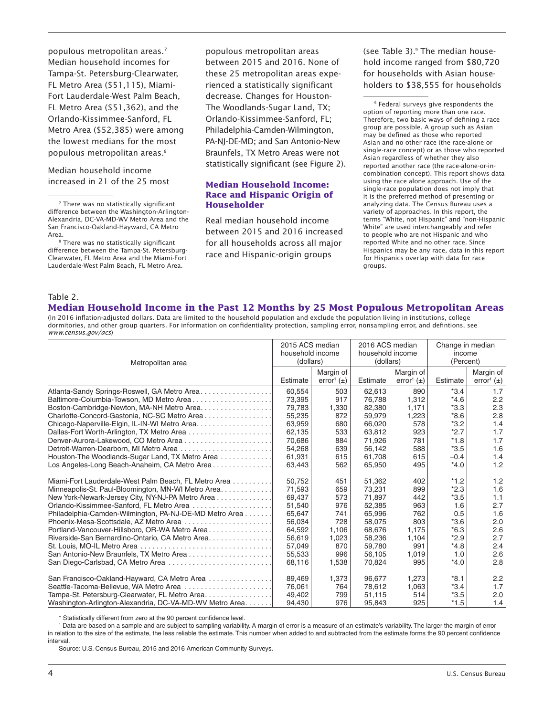populous metropolitan areas.7 Median household incomes for Tampa-St. Petersburg-Clearwater, FL Metro Area (\$51,115), Miami-Fort Lauderdale-West Palm Beach, FL Metro Area (\$51,362), and the Orlando-Kissimmee-Sanford, FL Metro Area (\$52,385) were among the lowest medians for the most populous metropolitan areas.<sup>8</sup>

Median household income increased in 21 of the 25 most

Area.<br><sup>8</sup> There was no statistically significant difference between the Tampa-St. Petersburg-Clearwater, FL Metro Area and the Miami-Fort Lauderdale-West Palm Beach, FL Metro Area.

populous metropolitan areas between 2015 and 2016. None of these 25 metropolitan areas experienced a statistically significant decrease. Changes for Houston-The Woodlands-Sugar Land, TX; Orlando-Kissimmee-Sanford, FL; Philadelphia-Camden-Wilmington, PA-NJ-DE-MD; and San Antonio-New Braunfels, TX Metro Areas were not statistically significant (see Figure 2).

#### **Median Household Income: Race and Hispanic Origin of Householder**

Real median household income between 2015 and 2016 increased for all households across all major race and Hispanic-origin groups

(see Table 3).<sup>9</sup> The median household income ranged from \$80,720 for households with Asian householders to \$38,555 for households

9 Federal surveys give respondents the option of reporting more than one race. Therefore, two basic ways of defining a race group are possible. A group such as Asian may be defined as those who reported Asian and no other race (the race-alone or single-race concept) or as those who reported Asian regardless of whether they also reported another race (the race-alone-or-incombination concept). This report shows data using the race alone approach. Use of the single-race population does not imply that it is the preferred method of presenting or analyzing data. The Census Bureau uses a variety of approaches. In this report, the terms "White, not Hispanic" and "non-Hispanic White" are used interchangeably and refer to people who are not Hispanic and who reported White and no other race. Since Hispanics may be any race, data in this report for Hispanics overlap with data for race groups.

#### Table 2.

# **Median Household Income in the Past 12 Months by 25 Most Populous Metropolitan Areas**

(In 2016 inflation-adjusted dollars. Data are limited to the household population and exclude the population living in institutions, college dormitories, and other group quarters. For information on confidentiality protection, sampling error, nonsampling error, and defintions, see *www.census.gov/acs*)

| Metropolitan area                                                                                      |                            | 2015 ACS median                         |                            | 2016 ACS median                         |                         | Change in median                        |  |
|--------------------------------------------------------------------------------------------------------|----------------------------|-----------------------------------------|----------------------------|-----------------------------------------|-------------------------|-----------------------------------------|--|
|                                                                                                        |                            | household income                        |                            | household income                        |                         | income                                  |  |
|                                                                                                        |                            | (dollars)                               |                            | (dollars)                               |                         | (Percent)                               |  |
|                                                                                                        | Estimate                   | Margin of<br>error <sup>1</sup> $(\pm)$ | Estimate                   | Margin of<br>error <sup>1</sup> $(\pm)$ | Estimate                | Margin of<br>error <sup>1</sup> $(\pm)$ |  |
| Atlanta-Sandy Springs-Roswell, GA Metro Area                                                           | 60,554                     | 503                                     | 62,613                     | 890                                     | $*3.4$                  | 1.7                                     |  |
| Baltimore-Columbia-Towson, MD Metro Area                                                               | 73,395                     | 917                                     | 76,788                     | 1,312                                   | $*4.6$                  | 2.2                                     |  |
|                                                                                                        | 79,783                     | 1,330                                   | 82,380                     | 1,171                                   | $*3.3$                  | 2.3                                     |  |
| Charlotte-Concord-Gastonia, NC-SC Metro Area                                                           | 55,235                     | 872                                     | 59,979                     | 1,223                                   | $*8.6$                  | 2.8                                     |  |
|                                                                                                        | 63,959                     | 680                                     | 66,020                     | 578                                     | $*3.2$                  | 1.4                                     |  |
| Dallas-Fort Worth-Arlington, TX Metro Area                                                             | 62,135                     | 533                                     | 63,812                     | 923                                     | $*2.7$                  | 1.7                                     |  |
| Denver-Aurora-Lakewood, CO Metro Area                                                                  | 70,686                     | 884                                     | 71,926                     | 781                                     | $*1.8$                  | 1.7                                     |  |
| Detroit-Warren-Dearborn, MI Metro Area                                                                 | 54,268                     | 639                                     | 56,142                     | 588                                     | $*3.5$                  | 1.6                                     |  |
| Houston-The Woodlands-Sugar Land, TX Metro Area                                                        | 61,931                     | 615                                     | 61,708                     | 615                                     | $-0.4$                  | 1.4                                     |  |
| Los Angeles-Long Beach-Anaheim, CA Metro Area                                                          | 63,443                     | 562                                     | 65,950                     | 495                                     | $*4.0$                  | 1.2                                     |  |
| Miami-Fort Lauderdale-West Palm Beach, FL Metro Area                                                   | 50,752                     | 451                                     | 51,362                     | 402                                     | $*1.2$                  | 1.2<br>1.6                              |  |
| Minneapolis-St. Paul-Bloomington, MN-WI Metro Area<br>New York-Newark-Jersey City, NY-NJ-PA Metro Area | 71,593<br>69,437<br>51,540 | 659<br>573<br>976                       | 73,231<br>71,897<br>52,385 | 899<br>442<br>963                       | $*2.3$<br>$*3.5$<br>1.6 | 1.1<br>2.7                              |  |
| Philadelphia-Camden-Wilmington, PA-NJ-DE-MD Metro Area                                                 | 65,647                     | 741                                     | 65,996                     | 762                                     | 0.5                     | 1.6                                     |  |
| Phoenix-Mesa-Scottsdale, AZ Metro Area                                                                 | 56,034                     | 728                                     | 58,075                     | 803                                     | $*3.6$                  | 2.0                                     |  |
| Portland-Vancouver-Hillsboro, OR-WA Metro Area                                                         | 64,592                     | 1,106                                   | 68,676                     | 1,175                                   | $*6.3$                  | 2.6                                     |  |
| Riverside-San Bernardino-Ontario, CA Metro Area.                                                       | 56,619                     | 1,023                                   | 58,236                     | 1,104                                   | $*2.9$                  | 2.7                                     |  |
|                                                                                                        | 57,049                     | 870                                     | 59,780                     | 991                                     | $*4.8$                  | 2.4                                     |  |
|                                                                                                        | 55,533                     | 996                                     | 56,105                     | 1,019                                   | 1.0                     | 2.6                                     |  |
| San Diego-Carlsbad, CA Metro Area                                                                      | 68,116                     | 1,538                                   | 70,824                     | 995                                     | $*4.0$                  | 2.8                                     |  |
| San Francisco-Oakland-Hayward, CA Metro Area                                                           | 89,469                     | 1,373                                   | 96,677                     | 1,273                                   | $*8.1$                  | 2.2                                     |  |
| Seattle-Tacoma-Bellevue, WA Metro Area                                                                 | 76,061                     | 764                                     | 78,612                     | 1,063                                   | $*3.4$                  | 1.7                                     |  |
| Tampa-St. Petersburg-Clearwater, FL Metro Area                                                         | 49,402                     | 799                                     | 51,115                     | 514                                     | $*3.5$                  | 2.0                                     |  |
| Washington-Arlington-Alexandria, DC-VA-MD-WV Metro Area                                                | 94,430                     | 976                                     | 95,843                     | 925                                     | $*1.5$                  | 1.4                                     |  |

\* Statistically different from zero at the 90 percent confidence level .

1 Data are based on a sample and are subject to sampling variability . A margin of error is a measure of an estimate's variability . The larger the margin of error in relation to the size of the estimate, the less reliable the estimate . This number when added to and subtracted from the estimate forms the 90 percent confidence interval .

Source: U.S. Census Bureau, 2015 and 2016 American Community Surveys.

<sup>7</sup> There was no statistically significant difference between the Washington-Arlington-Alexandria, DC-VA-MD-WV Metro Area and the San Francisco-Oakland-Hayward, CA Metro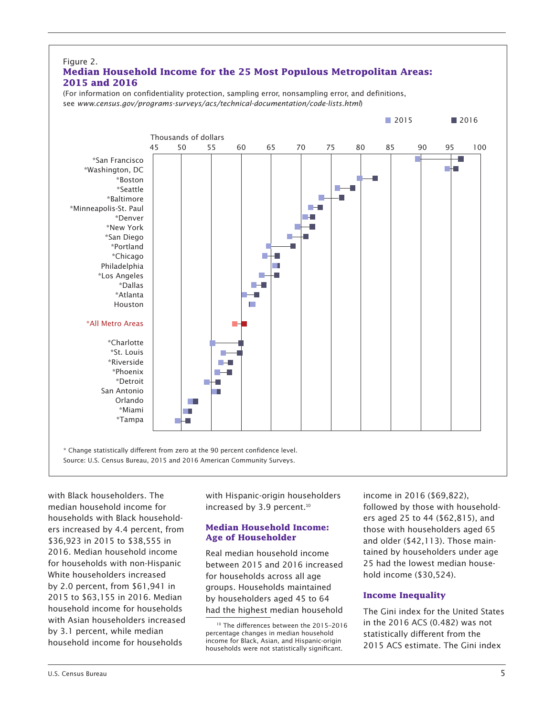

with Black householders. The median household income for households with Black householders increased by 4.4 percent, from \$36,923 in 2015 to \$38,555 in 2016. Median household income for households with non-Hispanic White householders increased by 2.0 percent, from \$61,941 in 2015 to \$63,155 in 2016. Median household income for households with Asian householders increased by 3.1 percent, while median household income for households

with Hispanic-origin householders increased by 3.9 percent.<sup>10</sup>

## **Median Household Income: Age of Householder**

Real median household income between 2015 and 2016 increased for households across all age groups. Households maintained by householders aged 45 to 64 had the highest median household

income in 2016 (\$69,822), followed by those with householders aged 25 to 44 (\$62,815), and those with householders aged 65 and older (\$42,113). Those maintained by householders under age 25 had the lowest median household income (\$30,524).

# **Income Inequality**

The Gini index for the United States in the 2016 ACS (0.482) was not statistically different from the 2015 ACS estimate. The Gini index

<sup>10</sup> The differences between the 2015–2016 percentage changes in median household income for Black, Asian, and Hispanic-origin households were not statistically significant.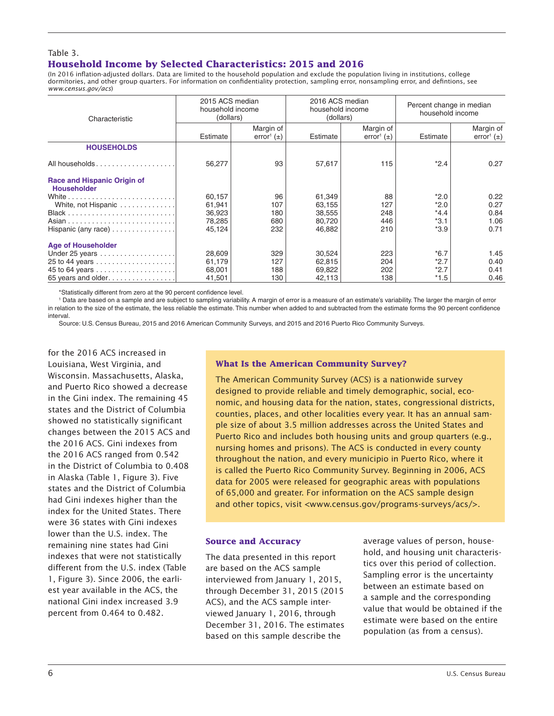#### Table 3. **Household Income by Selected Characteristics: 2015 and 2016**

(In 2016 inflation-adjusted dollars. Data are limited to the household population and exclude the population living in institutions, college dormitories, and other group quarters. For information on confidentiality protection, sampling error, nonsampling error, and defintions, see *www.census.gov/acs*)

| Characteristic                                           | 2015 ACS median<br>household income<br>(dollars) |                                         | 2016 ACS median<br>household income<br>(dollars) |                                         | Percent change in median<br>household income |                                         |  |
|----------------------------------------------------------|--------------------------------------------------|-----------------------------------------|--------------------------------------------------|-----------------------------------------|----------------------------------------------|-----------------------------------------|--|
|                                                          | Estimate                                         | Margin of<br>error <sup>1</sup> $(\pm)$ | Estimate                                         | Margin of<br>error <sup>1</sup> $(\pm)$ | Estimate                                     | Margin of<br>error <sup>1</sup> $(\pm)$ |  |
| <b>HOUSEHOLDS</b>                                        |                                                  |                                         |                                                  |                                         |                                              |                                         |  |
| All households                                           | 56,277                                           | 93                                      | 57,617                                           | 115                                     | $*2.4$                                       | 0.27                                    |  |
| <b>Race and Hispanic Origin of</b><br><b>Householder</b> |                                                  |                                         |                                                  |                                         |                                              |                                         |  |
| White, not Hispanic                                      | 60,157<br>61,941                                 | 96<br>107                               | 61,349<br>63,155                                 | 88<br>127                               | $*2.0$<br>$*2.0$                             | 0.22<br>0.27                            |  |
|                                                          | 36,923                                           | 180                                     | 38,555                                           | 248                                     | $*4.4$                                       | 0.84                                    |  |
|                                                          | 78,285                                           | 680                                     | 80,720                                           | 446                                     | $*3.1$                                       | 1.06                                    |  |
| Hispanic (any race) $\dots \dots \dots \dots$            | 45,124                                           | 232                                     | 46,882                                           | 210                                     | $*3.9$                                       | 0.71                                    |  |
| <b>Age of Householder</b>                                |                                                  |                                         |                                                  |                                         |                                              |                                         |  |
| Under 25 years                                           | 28,609                                           | 329                                     | 30,524                                           | 223                                     | $*6.7$                                       | 1.45                                    |  |
|                                                          | 61,179                                           | 127                                     | 62,815                                           | 204                                     | $*2.7$                                       | 0.40                                    |  |
|                                                          | 68,001                                           | 188                                     | 69,822                                           | 202                                     | $*2.7$                                       | 0.41                                    |  |
| 65 years and older                                       | 41,501                                           | 130                                     | 42,113                                           | 138                                     | $*1.5$                                       | 0.46                                    |  |

\*Statistically different from zero at the 90 percent confidence level .

1 Data are based on a sample and are subject to sampling variability . A margin of error is a measure of an estimate's variability . The larger the margin of error in relation to the size of the estimate, the less reliable the estimate . This number when added to and subtracted from the estimate forms the 90 percent confidence interval.

Source: U .S . Census Bureau, 2015 and 2016 American Community Surveys, and 2015 and 2016 Puerto Rico Community Surveys .

for the 2016 ACS increased in Louisiana, West Virginia, and Wisconsin. Massachusetts, Alaska, and Puerto Rico showed a decrease in the Gini index. The remaining 45 states and the District of Columbia showed no statistically significant changes between the 2015 ACS and the 2016 ACS. Gini indexes from the 2016 ACS ranged from 0.542 in the District of Columbia to 0.408 in Alaska (Table 1, Figure 3). Five states and the District of Columbia had Gini indexes higher than the index for the United States. There were 36 states with Gini indexes lower than the U.S. index. The remaining nine states had Gini indexes that were not statistically different from the U.S. index (Table 1, Figure 3). Since 2006, the earliest year available in the ACS, the national Gini index increased 3.9 percent from 0.464 to 0.482.

## **What Is the American Community Survey?**

The American Community Survey (ACS) is a nationwide survey designed to provide reliable and timely demographic, social, economic, and housing data for the nation, states, congressional districts, counties, places, and other localities every year. It has an annual sample size of about 3.5 million addresses across the United States and Puerto Rico and includes both housing units and group quarters (e.g., nursing homes and prisons). The ACS is conducted in every county throughout the nation, and every municipio in Puerto Rico, where it is called the Puerto Rico Community Survey. Beginning in 2006, ACS data for 2005 were released for geographic areas with populations of 65,000 and greater. For information on the ACS sample design and other topics, visit <www.census.gov/programs-surveys/acs/>.

#### **Source and Accuracy**

The data presented in this report are based on the ACS sample interviewed from January 1, 2015, through December 31, 2015 (2015 ACS), and the ACS sample interviewed January 1, 2016, through December 31, 2016. The estimates based on this sample describe the

average values of person, household, and housing unit characteristics over this period of collection. Sampling error is the uncertainty between an estimate based on a sample and the corresponding value that would be obtained if the estimate were based on the entire population (as from a census).